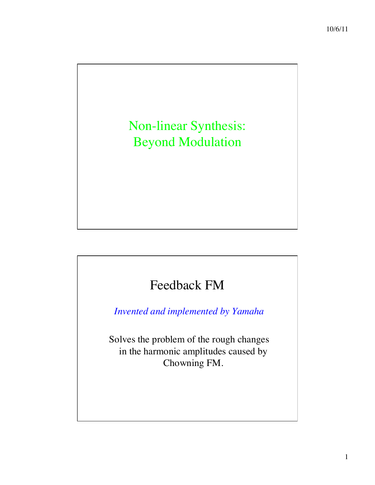# Non-linear Synthesis: Beyond Modulation

## Feedback FM

*Invented and implemented by Yamaha*

Solves the problem of the rough changes in the harmonic amplitudes caused by Chowning FM.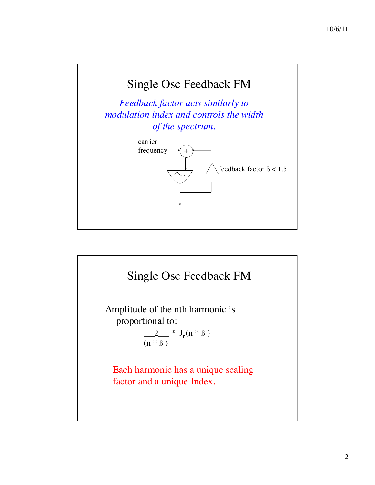

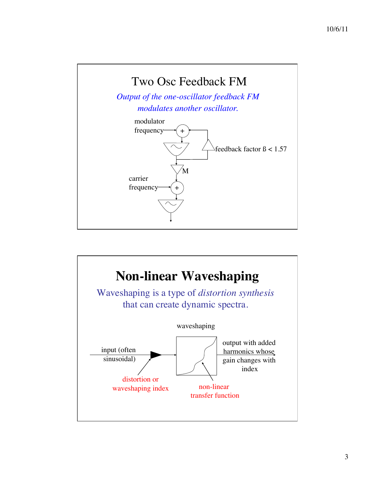

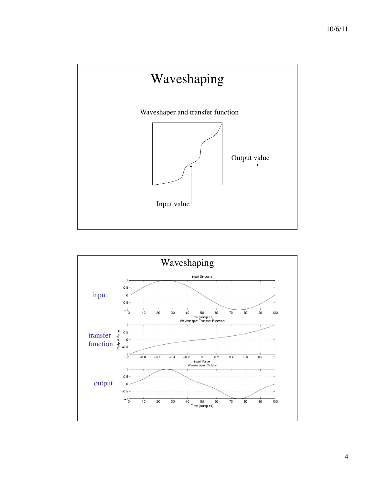

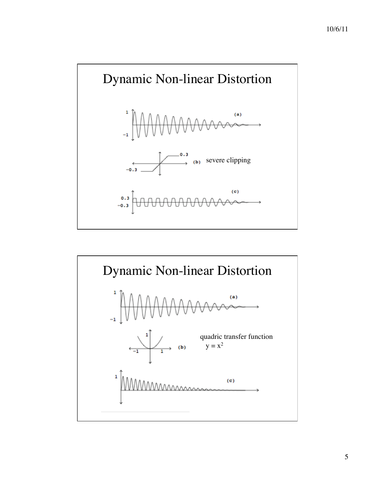

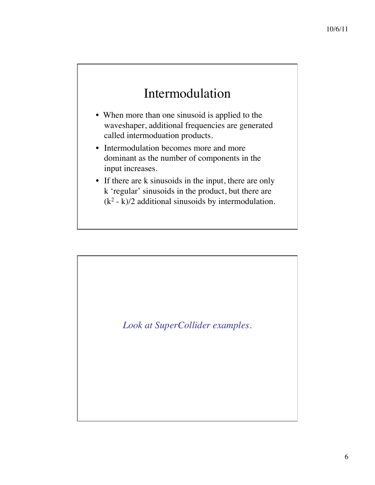## Intermodulation

- When more than one sinusoid is applied to the waveshaper, additional frequencies are generated called intermoduation products.
- Intermodulation becomes more and more dominant as the number of components in the input increases.
- If there are k sinusoids in the input, there are only k 'regular' sinusoids in the product, but there are  $(k<sup>2</sup> - k)/2$  additional sinusoids by intermodulation.

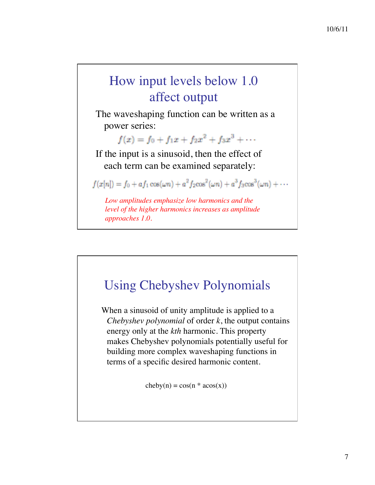# How input levels below 1.0 affect output

The waveshaping function can be written as a power series:

 $f(x) = f_0 + f_1x + f_2x^2 + f_3x^3 + \cdots$ 

If the input is a sinusoid, then the effect of each term can be examined separately:

 $f(x[n]) = f_0 + af_1 \cos(\omega n) + a^2 f_2 \cos^2(\omega n) + a^3 f_3 \cos^3(\omega n) + \cdots$ 

*Low amplitudes emphasize low harmonics and the level of the higher harmonics increases as amplitude approaches 1.0.*



When a sinusoid of unity amplitude is applied to a *Chebyshev polynomial* of order *k*, the output contains energy only at the *kth* harmonic. This property makes Chebyshev polynomials potentially useful for building more complex waveshaping functions in terms of a specific desired harmonic content.

 $cheby(n) = cos(n * acos(x))$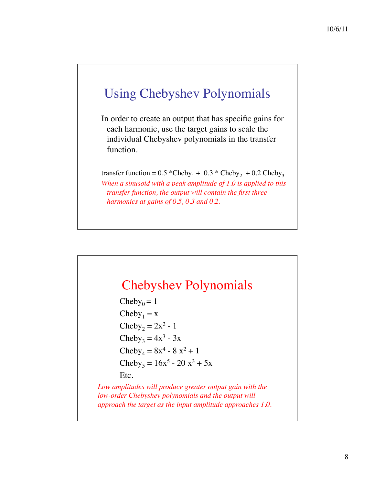### Using Chebyshev Polynomials

In order to create an output that has specific gains for each harmonic, use the target gains to scale the individual Chebyshev polynomials in the transfer function.

transfer function =  $0.5$  \*Cheby<sub>1</sub> +  $0.3$  \* Cheby<sub>2</sub> +  $0.2$  Cheby<sub>3</sub> *When a sinusoid with a peak amplitude of 1.0 is applied to this transfer function, the output will contain the first three harmonics at gains of 0.5, 0.3 and 0.2.*

#### Chebyshev Polynomials

Cheby<sub>0</sub> = 1  $Cheby<sub>1</sub> = x$ Cheby<sub>2</sub> =  $2x^2 - 1$ Cheby<sub>3</sub> =  $4x^3 - 3x$  $Cheby_4 = 8x^4 - 8x^2 + 1$ Cheby<sub>5</sub> =  $16x^5 - 20x^3 + 5x$ Etc.

*Low amplitudes will produce greater output gain with the low-order Chebyshev polynomials and the output will approach the target as the input amplitude approaches 1.0.*